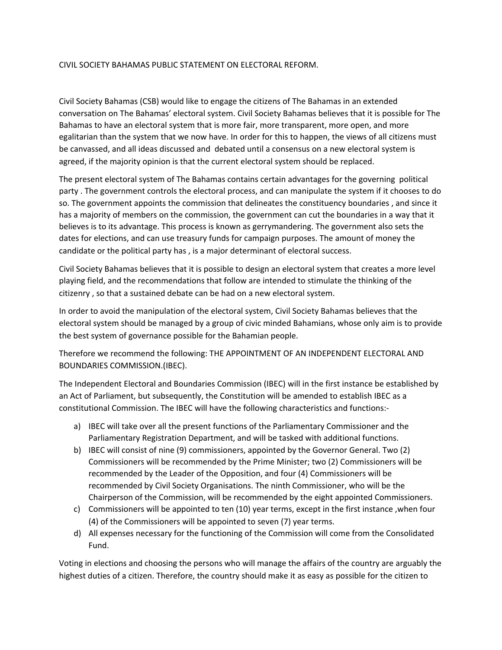## CIVIL SOCIETY BAHAMAS PUBLIC STATEMENT ON ELECTORAL REFORM.

Civil Society Bahamas (CSB) would like to engage the citizens of The Bahamas in an extended conversation on The Bahamas' electoral system. Civil Society Bahamas believes that it is possible for The Bahamas to have an electoral system that is more fair, more transparent, more open, and more egalitarian than the system that we now have. In order for this to happen, the views of all citizens must be canvassed, and all ideas discussed and debated until a consensus on a new electoral system is agreed, if the majority opinion is that the current electoral system should be replaced.

The present electoral system of The Bahamas contains certain advantages for the governing political party . The government controls the electoral process, and can manipulate the system if it chooses to do so. The government appoints the commission that delineates the constituency boundaries , and since it has a majority of members on the commission, the government can cut the boundaries in a way that it believes is to its advantage. This process is known as gerrymandering. The government also sets the dates for elections, and can use treasury funds for campaign purposes. The amount of money the candidate or the political party has , is a major determinant of electoral success.

Civil Society Bahamas believes that it is possible to design an electoral system that creates a more level playing field, and the recommendations that follow are intended to stimulate the thinking of the citizenry , so that a sustained debate can be had on a new electoral system.

In order to avoid the manipulation of the electoral system, Civil Society Bahamas believes that the electoral system should be managed by a group of civic minded Bahamians, whose only aim is to provide the best system of governance possible for the Bahamian people.

Therefore we recommend the following: THE APPOINTMENT OF AN INDEPENDENT ELECTORAL AND BOUNDARIES COMMISSION.(IBEC).

The Independent Electoral and Boundaries Commission (IBEC) will in the first instance be established by an Act of Parliament, but subsequently, the Constitution will be amended to establish IBEC as a constitutional Commission. The IBEC will have the following characteristics and functions:-

- a) IBEC will take over all the present functions of the Parliamentary Commissioner and the Parliamentary Registration Department, and will be tasked with additional functions.
- b) IBEC will consist of nine (9) commissioners, appointed by the Governor General. Two (2) Commissioners will be recommended by the Prime Minister; two (2) Commissioners will be recommended by the Leader of the Opposition, and four (4) Commissioners will be recommended by Civil Society Organisations. The ninth Commissioner, who will be the Chairperson of the Commission, will be recommended by the eight appointed Commissioners.
- c) Commissioners will be appointed to ten (10) year terms, except in the first instance ,when four (4) of the Commissioners will be appointed to seven (7) year terms.
- d) All expenses necessary for the functioning of the Commission will come from the Consolidated Fund.

Voting in elections and choosing the persons who will manage the affairs of the country are arguably the highest duties of a citizen. Therefore, the country should make it as easy as possible for the citizen to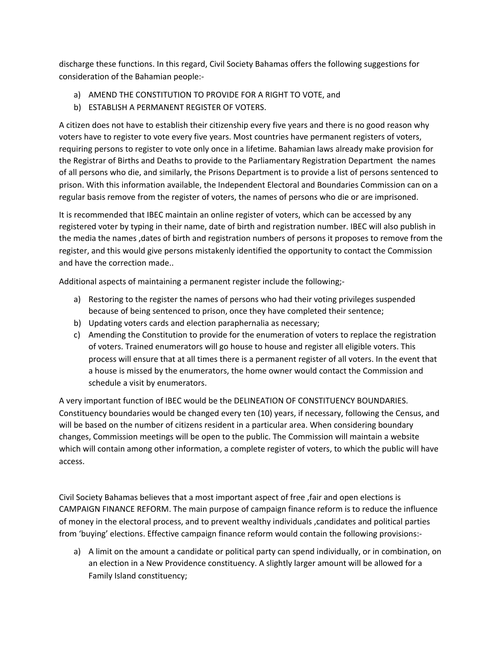discharge these functions. In this regard, Civil Society Bahamas offers the following suggestions for consideration of the Bahamian people:-

- a) AMEND THE CONSTITUTION TO PROVIDE FOR A RIGHT TO VOTE, and
- b) ESTABLISH A PERMANENT REGISTER OF VOTERS.

A citizen does not have to establish their citizenship every five years and there is no good reason why voters have to register to vote every five years. Most countries have permanent registers of voters, requiring persons to register to vote only once in a lifetime. Bahamian laws already make provision for the Registrar of Births and Deaths to provide to the Parliamentary Registration Department the names of all persons who die, and similarly, the Prisons Department is to provide a list of persons sentenced to prison. With this information available, the Independent Electoral and Boundaries Commission can on a regular basis remove from the register of voters, the names of persons who die or are imprisoned.

It is recommended that IBEC maintain an online register of voters, which can be accessed by any registered voter by typing in their name, date of birth and registration number. IBEC will also publish in the media the names ,dates of birth and registration numbers of persons it proposes to remove from the register, and this would give persons mistakenly identified the opportunity to contact the Commission and have the correction made..

Additional aspects of maintaining a permanent register include the following;-

- a) Restoring to the register the names of persons who had their voting privileges suspended because of being sentenced to prison, once they have completed their sentence;
- b) Updating voters cards and election paraphernalia as necessary;
- c) Amending the Constitution to provide for the enumeration of voters to replace the registration of voters. Trained enumerators will go house to house and register all eligible voters. This process will ensure that at all times there is a permanent register of all voters. In the event that a house is missed by the enumerators, the home owner would contact the Commission and schedule a visit by enumerators.

A very important function of IBEC would be the DELINEATION OF CONSTITUENCY BOUNDARIES. Constituency boundaries would be changed every ten (10) years, if necessary, following the Census, and will be based on the number of citizens resident in a particular area. When considering boundary changes, Commission meetings will be open to the public. The Commission will maintain a website which will contain among other information, a complete register of voters, to which the public will have access.

Civil Society Bahamas believes that a most important aspect of free ,fair and open elections is CAMPAIGN FINANCE REFORM. The main purpose of campaign finance reform is to reduce the influence of money in the electoral process, and to prevent wealthy individuals ,candidates and political parties from 'buying' elections. Effective campaign finance reform would contain the following provisions:-

a) A limit on the amount a candidate or political party can spend individually, or in combination, on an election in a New Providence constituency. A slightly larger amount will be allowed for a Family Island constituency;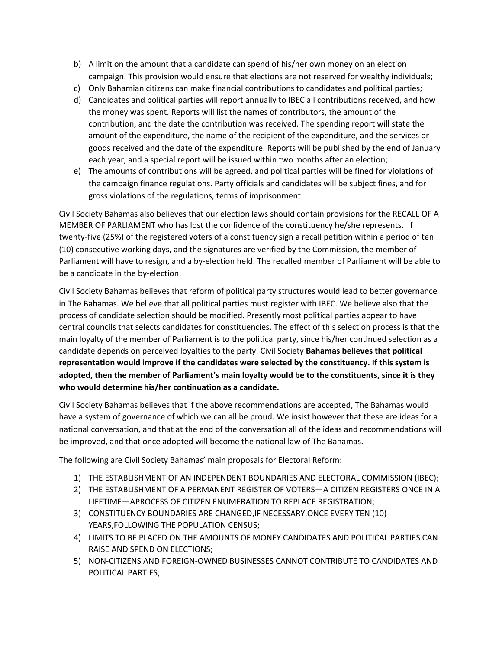- b) A limit on the amount that a candidate can spend of his/her own money on an election campaign. This provision would ensure that elections are not reserved for wealthy individuals;
- c) Only Bahamian citizens can make financial contributions to candidates and political parties;
- d) Candidates and political parties will report annually to IBEC all contributions received, and how the money was spent. Reports will list the names of contributors, the amount of the contribution, and the date the contribution was received. The spending report will state the amount of the expenditure, the name of the recipient of the expenditure, and the services or goods received and the date of the expenditure. Reports will be published by the end of January each year, and a special report will be issued within two months after an election;
- e) The amounts of contributions will be agreed, and political parties will be fined for violations of the campaign finance regulations. Party officials and candidates will be subject fines, and for gross violations of the regulations, terms of imprisonment.

Civil Society Bahamas also believes that our election laws should contain provisions for the RECALL OF A MEMBER OF PARLIAMENT who has lost the confidence of the constituency he/she represents. If twenty-five (25%) of the registered voters of a constituency sign a recall petition within a period of ten (10) consecutive working days, and the signatures are verified by the Commission, the member of Parliament will have to resign, and a by-election held. The recalled member of Parliament will be able to be a candidate in the by-election.

Civil Society Bahamas believes that reform of political party structures would lead to better governance in The Bahamas. We believe that all political parties must register with IBEC. We believe also that the process of candidate selection should be modified. Presently most political parties appear to have central councils that selects candidates for constituencies. The effect of this selection process is that the main loyalty of the member of Parliament is to the political party, since his/her continued selection as a candidate depends on perceived loyalties to the party. Civil Society **Bahamas believes that political representation would improve if the candidates were selected by the constituency. If this system is adopted, then the member of Parliament's main loyalty would be to the constituents, since it is they who would determine his/her continuation as a candidate.**

Civil Society Bahamas believes that if the above recommendations are accepted, The Bahamas would have a system of governance of which we can all be proud. We insist however that these are ideas for a national conversation, and that at the end of the conversation all of the ideas and recommendations will be improved, and that once adopted will become the national law of The Bahamas.

The following are Civil Society Bahamas' main proposals for Electoral Reform:

- 1) THE ESTABLISHMENT OF AN INDEPENDENT BOUNDARIES AND ELECTORAL COMMISSION (IBEC);
- 2) THE ESTABLISHMENT OF A PERMANENT REGISTER OF VOTERS—A CITIZEN REGISTERS ONCE IN A LIFETIME—APROCESS OF CITIZEN ENUMERATION TO REPLACE REGISTRATION;
- 3) CONSTITUENCY BOUNDARIES ARE CHANGED,IF NECESSARY,ONCE EVERY TEN (10) YEARS,FOLLOWING THE POPULATION CENSUS;
- 4) LIMITS TO BE PLACED ON THE AMOUNTS OF MONEY CANDIDATES AND POLITICAL PARTIES CAN RAISE AND SPEND ON ELECTIONS;
- 5) NON-CITIZENS AND FOREIGN-OWNED BUSINESSES CANNOT CONTRIBUTE TO CANDIDATES AND POLITICAL PARTIES;